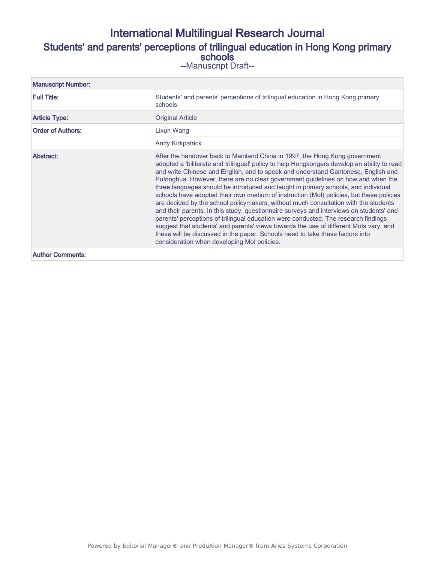## International Multilingual Research Journal Students' and parents' perceptions of trilingual education in Hong Kong primary schools --Manuscript Draft--

| <b>Manuscript Number:</b> |                                                                                                                                                                                                                                                                                                                                                                                                                                                                                                                                                                                                                                                                                                                                                                                                                                                                                                                                                                                                                                       |
|---------------------------|---------------------------------------------------------------------------------------------------------------------------------------------------------------------------------------------------------------------------------------------------------------------------------------------------------------------------------------------------------------------------------------------------------------------------------------------------------------------------------------------------------------------------------------------------------------------------------------------------------------------------------------------------------------------------------------------------------------------------------------------------------------------------------------------------------------------------------------------------------------------------------------------------------------------------------------------------------------------------------------------------------------------------------------|
| <b>Full Title:</b>        | Students' and parents' perceptions of trilingual education in Hong Kong primary<br>schools                                                                                                                                                                                                                                                                                                                                                                                                                                                                                                                                                                                                                                                                                                                                                                                                                                                                                                                                            |
| <b>Article Type:</b>      | <b>Original Article</b>                                                                                                                                                                                                                                                                                                                                                                                                                                                                                                                                                                                                                                                                                                                                                                                                                                                                                                                                                                                                               |
| <b>Order of Authors:</b>  | Lixun Wang                                                                                                                                                                                                                                                                                                                                                                                                                                                                                                                                                                                                                                                                                                                                                                                                                                                                                                                                                                                                                            |
|                           | <b>Andy Kirkpatrick</b>                                                                                                                                                                                                                                                                                                                                                                                                                                                                                                                                                                                                                                                                                                                                                                                                                                                                                                                                                                                                               |
| Abstract:                 | After the handover back to Mainland China in 1997, the Hong Kong government<br>adopted a 'biliterate and trilingual' policy to help Hongkongers develop an ability to read<br>and write Chinese and English, and to speak and understand Cantonese, English and<br>Putonghua. However, there are no clear government guidelines on how and when the<br>three languages should be introduced and taught in primary schools, and individual<br>schools have adopted their own medium of instruction (MoI) policies, but these policies<br>are decided by the school policymakers, without much consultation with the students<br>and their parents. In this study, questionnaire surveys and interviews on students' and<br>parents' perceptions of trilingual education were conducted. The research findings<br>suggest that students' and parents' views towards the use of different Mols vary, and<br>these will be discussed in the paper. Schools need to take these factors into<br>consideration when developing Mol policies. |
| <b>Author Comments:</b>   |                                                                                                                                                                                                                                                                                                                                                                                                                                                                                                                                                                                                                                                                                                                                                                                                                                                                                                                                                                                                                                       |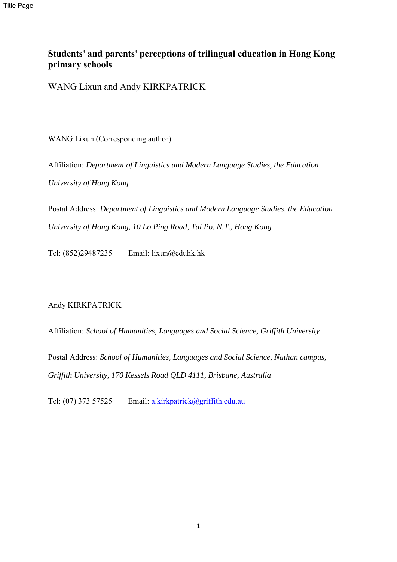# **Students' and parents' perceptions of trilingual education in Hong Kong primary schools**

WANG Lixun and Andy KIRKPATRICK

WANG Lixun (Corresponding author)

Affiliation: *Department of Linguistics and Modern Language Studies, the Education University of Hong Kong* 

Postal Address: *Department of Linguistics and Modern Language Studies, the Education University of Hong Kong, 10 Lo Ping Road, Tai Po, N.T., Hong Kong* 

Tel: (852)29487235 Email: lixun@eduhk.hk

Andy KIRKPATRICK

Affiliation: *School of Humanities, Languages and Social Science, Griffith University* 

Postal Address: *School of Humanities, Languages and Social Science, Nathan campus, Griffith University, 170 Kessels Road QLD 4111, Brisbane, Australia*

Tel: (07) 373 57525 Email: [a.kirkpatrick@griffith.edu.au](mailto:a.kirkpatrick@griffith.edu.au)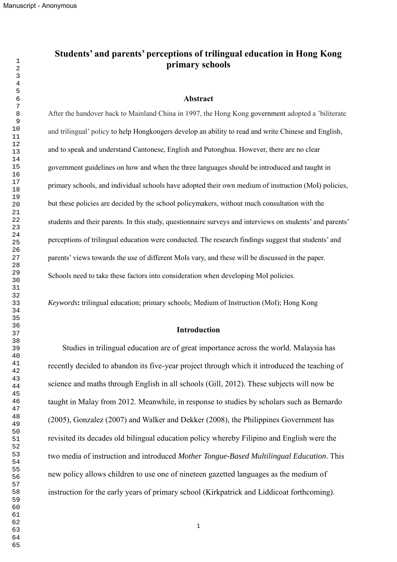Manuscript - Anonymous

## **Students' and parents' perceptions of trilingual education in Hong Kong primary schools**

#### **Abstract**

After the handover back to Mainland China in 1997, the Hong Kong government adopted a 'biliterate and trilingual' policy to help Hongkongers develop an ability to read and write Chinese and English, and to speak and understand Cantonese, English and Putonghua. However, there are no clear government guidelines on how and when the three languages should be introduced and taught in primary schools, and individual schools have adopted their own medium of instruction (MoI) policies, but these policies are decided by the school policymakers, without much consultation with the students and their parents. In this study, questionnaire surveys and interviews on students' and parents' perceptions of trilingual education were conducted. The research findings suggest that students' and parents' views towards the use of different MoIs vary, and these will be discussed in the paper. Schools need to take these factors into consideration when developing MoI policies.

*Keywords***:** trilingual education; primary schools; Medium of Instruction (MoI); Hong Kong

#### **Introduction**

Studies in trilingual education are of great importance across the world. Malaysia has recently decided to abandon its five-year project through which it introduced the teaching of science and maths through English in all schools (Gill, 2012). These subjects will now be taught in Malay from 2012. Meanwhile, in response to studies by scholars such as Bernardo (2005), Gonzalez (2007) and Walker and Dekker (2008), the Philippines Government has revisited its decades old bilingual education policy whereby Filipino and English were the two media of instruction and introduced *Mother Tongue-Based Multilingual Education*. This new policy allows children to use one of nineteen gazetted languages as the medium of instruction for the early years of primary school (Kirkpatrick and Liddicoat forthcoming).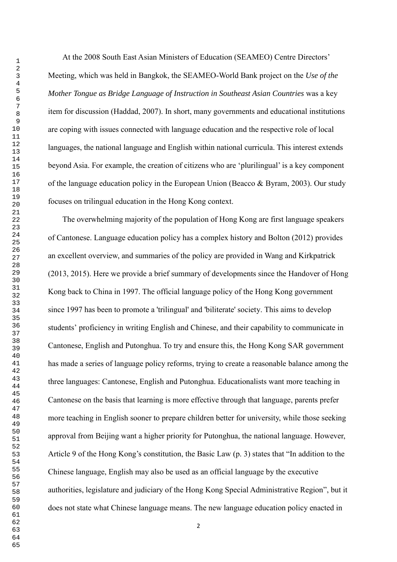At the 2008 South East Asian Ministers of Education (SEAMEO) Centre Directors' Meeting, which was held in Bangkok, the SEAMEO-World Bank project on the *Use of the Mother Tongue as Bridge Language of Instruction in Southeast Asian Countries* was a key item for discussion (Haddad, 2007). In short, many governments and educational institutions are coping with issues connected with language education and the respective role of local languages, the national language and English within national curricula. This interest extends beyond Asia. For example, the creation of citizens who are 'plurilingual' is a key component of the language education policy in the European Union (Beacco & Byram, 2003). Our study focuses on trilingual education in the Hong Kong context.

The overwhelming majority of the population of Hong Kong are first language speakers of Cantonese. Language education policy has a complex history and Bolton (2012) provides an excellent overview, and summaries of the policy are provided in Wang and Kirkpatrick (2013, 2015). Here we provide a brief summary of developments since the Handover of Hong Kong back to China in 1997. The official language policy of the Hong Kong government since 1997 has been to promote a 'trilingual' and 'biliterate' society. This aims to develop students' proficiency in writing English and Chinese, and their capability to communicate in Cantonese, English and Putonghua. To try and ensure this, the Hong Kong SAR government has made a series of language policy reforms, trying to create a reasonable balance among the three languages: Cantonese, English and Putonghua. Educationalists want more teaching in Cantonese on the basis that learning is more effective through that language, parents prefer more teaching in English sooner to prepare children better for university, while those seeking approval from Beijing want a higher priority for Putonghua, the national language. However, Article 9 of the Hong Kong's constitution, the Basic Law (p. 3) states that "In addition to the Chinese language, English may also be used as an official language by the executive authorities, legislature and judiciary of the Hong Kong Special Administrative Region", but it does not state what Chinese language means. The new language education policy enacted in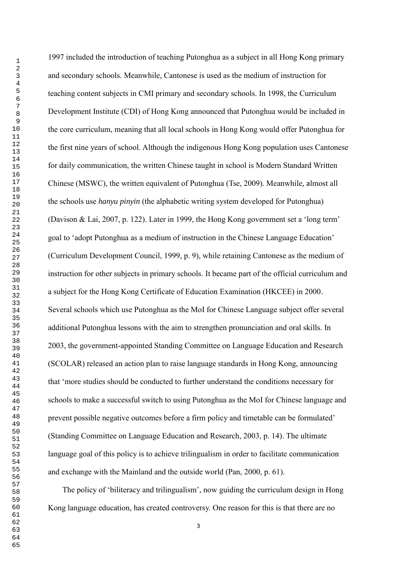1997 included the introduction of teaching Putonghua as a subject in all Hong Kong primary and secondary schools. Meanwhile, Cantonese is used as the medium of instruction for teaching content subjects in CMI primary and secondary schools. In 1998, the Curriculum Development Institute (CDI) of Hong Kong announced that Putonghua would be included in the core curriculum, meaning that all local schools in Hong Kong would offer Putonghua for the first nine years of school. Although the indigenous Hong Kong population uses Cantonese for daily communication, the written Chinese taught in school is Modern Standard Written Chinese (MSWC), the written equivalent of Putonghua (Tse, 2009). Meanwhile, almost all the schools use *hanyu pinyin* (the alphabetic writing system developed for Putonghua) (Davison & Lai, 2007, p. 122). Later in 1999, the Hong Kong government set a 'long term' goal to 'adopt Putonghua as a medium of instruction in the Chinese Language Education' (Curriculum Development Council, 1999, p. 9), while retaining Cantonese as the medium of instruction for other subjects in primary schools. It became part of the official curriculum and a subject for the Hong Kong Certificate of Education Examination (HKCEE) in 2000. Several schools which use Putonghua as the MoI for Chinese Language subject offer several additional Putonghua lessons with the aim to strengthen pronunciation and oral skills. In 2003, the government-appointed Standing Committee on Language Education and Research (SCOLAR) released an action plan to raise language standards in Hong Kong, announcing that 'more studies should be conducted to further understand the conditions necessary for schools to make a successful switch to using Putonghua as the MoI for Chinese language and prevent possible negative outcomes before a firm policy and timetable can be formulated' (Standing Committee on Language Education and Research, 2003, p. 14). The ultimate language goal of this policy is to achieve trilingualism in order to facilitate communication and exchange with the Mainland and the outside world (Pan, 2000, p. 61).

The policy of 'biliteracy and trilingualism', now guiding the curriculum design in Hong Kong language education, has created controversy. One reason for this is that there are no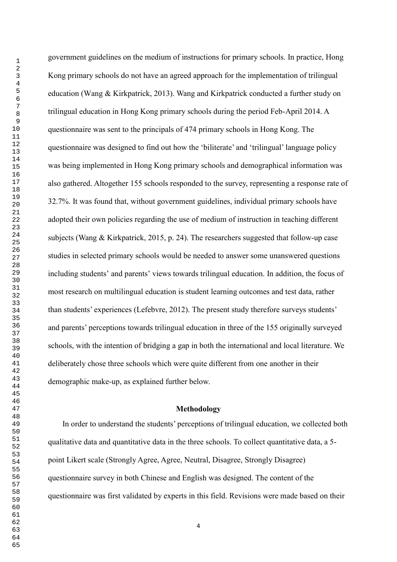government guidelines on the medium of instructions for primary schools. In practice, Hong Kong primary schools do not have an agreed approach for the implementation of trilingual education (Wang & Kirkpatrick, 2013). Wang and Kirkpatrick conducted a further study on trilingual education in Hong Kong primary schools during the period Feb-April 2014. A questionnaire was sent to the principals of 474 primary schools in Hong Kong. The questionnaire was designed to find out how the 'biliterate' and 'trilingual' language policy was being implemented in Hong Kong primary schools and demographical information was also gathered. Altogether 155 schools responded to the survey, representing a response rate of 32.7%. It was found that, without government guidelines, individual primary schools have adopted their own policies regarding the use of medium of instruction in teaching different subjects (Wang & Kirkpatrick, 2015, p. 24). The researchers suggested that follow-up case studies in selected primary schools would be needed to answer some unanswered questions including students' and parents' views towards trilingual education. In addition, the focus of most research on multilingual education is student learning outcomes and test data, rather than students' experiences (Lefebvre, 2012). The present study therefore surveys students' and parents' perceptions towards trilingual education in three of the 155 originally surveyed schools, with the intention of bridging a gap in both the international and local literature. We deliberately chose three schools which were quite different from one another in their demographic make-up, as explained further below.

#### **Methodology**

In order to understand the students' perceptions of trilingual education, we collected both qualitative data and quantitative data in the three schools. To collect quantitative data, a 5 point Likert scale (Strongly Agree, Agree, Neutral, Disagree, Strongly Disagree) questionnaire survey in both Chinese and English was designed. The content of the questionnaire was first validated by experts in this field. Revisions were made based on their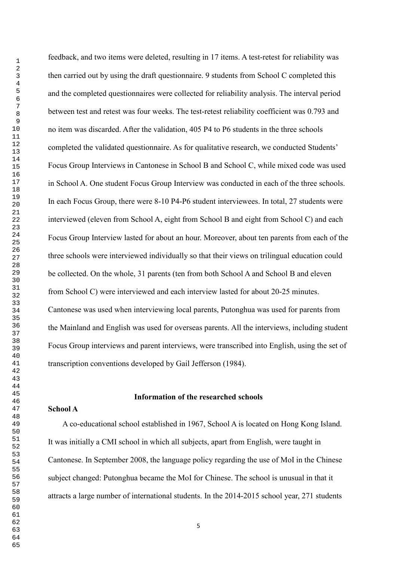feedback, and two items were deleted, resulting in 17 items. A test-retest for reliability was then carried out by using the draft questionnaire. 9 students from School C completed this and the completed questionnaires were collected for reliability analysis. The interval period between test and retest was four weeks. The test-retest reliability coefficient was 0.793 and no item was discarded. After the validation, 405 P4 to P6 students in the three schools completed the validated questionnaire. As for qualitative research, we conducted Students' Focus Group Interviews in Cantonese in School B and School C, while mixed code was used in School A. One student Focus Group Interview was conducted in each of the three schools. In each Focus Group, there were 8-10 P4-P6 student interviewees. In total, 27 students were interviewed (eleven from School A, eight from School B and eight from School C) and each Focus Group Interview lasted for about an hour. Moreover, about ten parents from each of the three schools were interviewed individually so that their views on trilingual education could be collected. On the whole, 31 parents (ten from both School A and School B and eleven from School C) were interviewed and each interview lasted for about 20-25 minutes. Cantonese was used when interviewing local parents, Putonghua was used for parents from the Mainland and English was used for overseas parents. All the interviews, including student Focus Group interviews and parent interviews, were transcribed into English, using the set of transcription conventions developed by Gail Jefferson (1984).

#### **Information of the researched schools**

#### **School A**

A co-educational school established in 1967, School A is located on Hong Kong Island. It was initially a CMI school in which all subjects, apart from English, were taught in Cantonese. In September 2008, the language policy regarding the use of MoI in the Chinese subject changed: Putonghua became the MoI for Chinese. The school is unusual in that it attracts a large number of international students. In the 2014-2015 school year, 271 students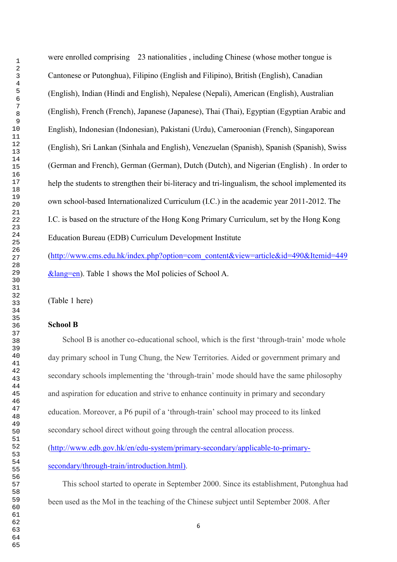were enrolled comprising 23 nationalities , including Chinese (whose mother tongue is Cantonese or Putonghua), Filipino (English and Filipino), British (English), Canadian (English), Indian (Hindi and English), Nepalese (Nepali), American (English), Australian (English), French (French), Japanese (Japanese), Thai (Thai), Egyptian (Egyptian Arabic and English), Indonesian (Indonesian), Pakistani (Urdu), Cameroonian (French), Singaporean (English), Sri Lankan (Sinhala and English), Venezuelan (Spanish), Spanish (Spanish), Swiss (German and French), German (German), Dutch (Dutch), and Nigerian (English) . In order to help the students to strengthen their bi-literacy and tri-lingualism, the school implemented its own school-based Internationalized Curriculum (I.C.) in the academic year 2011-2012. The I.C. is based on the structure of the Hong Kong Primary Curriculum, set by the Hong Kong Education Bureau (EDB) Curriculum Development Institute

[\(http://www.cms.edu.hk/index.php?option=com\\_content&view=article&id=490&Itemid=449](http://www.cms.edu.hk/index.php?option=com_content&view=article&id=490&Itemid=449&lang=en) [&lang=en\)](http://www.cms.edu.hk/index.php?option=com_content&view=article&id=490&Itemid=449&lang=en). Table 1 shows the MoI policies of School A.

(Table 1 here)

## **School B**

School B is another co-educational school, which is the first 'through-train' mode whole day primary school in Tung Chung, the New Territories. Aided or government primary and secondary schools implementing the 'through-train' mode should have the same philosophy and aspiration for education and strive to enhance continuity in primary and secondary education. Moreover, a P6 pupil of a 'through-train' school may proceed to its linked secondary school direct without going through the central allocation process.

[\(http://www.edb.gov.hk/en/edu-system/primary-secondary/applicable-to-primary](http://www.edb.gov.hk/en/edu-system/primary-secondary/applicable-to-primary-secondary/through-train/introduction.html)[secondary/through-train/introduction.html\)](http://www.edb.gov.hk/en/edu-system/primary-secondary/applicable-to-primary-secondary/through-train/introduction.html).

This school started to operate in September 2000. Since its establishment, Putonghua had been used as the MoI in the teaching of the Chinese subject until September 2008. After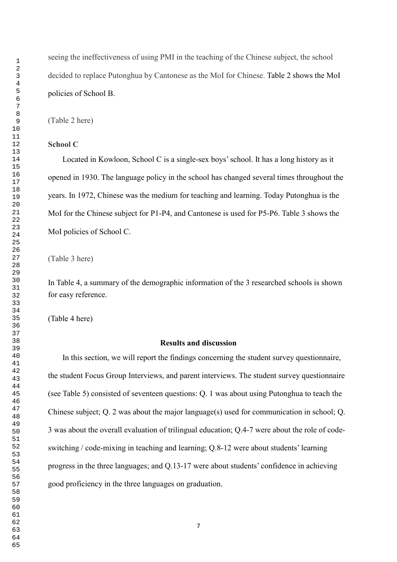seeing the ineffectiveness of using PMI in the teaching of the Chinese subject, the school decided to replace Putonghua by Cantonese as the MoI for Chinese. Table 2 shows the MoI policies of School B.

(Table 2 here)

#### **School C**

Located in Kowloon, School C is a single-sex boys'school. It has a long history as it opened in 1930. The language policy in the school has changed several times throughout the years. In 1972, Chinese was the medium for teaching and learning. Today Putonghua is the MoI for the Chinese subject for P1-P4, and Cantonese is used for P5-P6. Table 3 shows the MoI policies of School C.

(Table 3 here)

In Table 4, a summary of the demographic information of the 3 researched schools is shown for easy reference.

(Table 4 here)

#### **Results and discussion**

In this section, we will report the findings concerning the student survey questionnaire, the student Focus Group Interviews, and parent interviews. The student survey questionnaire (see Table 5) consisted of seventeen questions: Q. 1 was about using Putonghua to teach the Chinese subject; Q. 2 was about the major language(s) used for communication in school; Q. 3 was about the overall evaluation of trilingual education; Q.4-7 were about the role of codeswitching / code-mixing in teaching and learning; Q.8-12 were about students' learning progress in the three languages; and Q.13-17 were about students' confidence in achieving good proficiency in the three languages on graduation.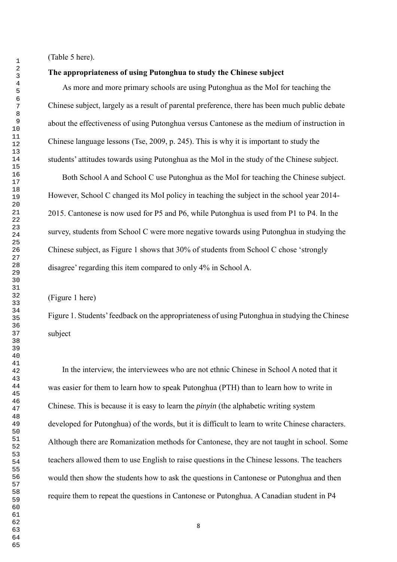(Table 5 here).

#### **The appropriateness of using Putonghua to study the Chinese subject**

As more and more primary schools are using Putonghua as the MoI for teaching the Chinese subject, largely as a result of parental preference, there has been much public debate about the effectiveness of using Putonghua versus Cantonese as the medium of instruction in Chinese language lessons (Tse, 2009, p. 245). This is why it is important to study the students' attitudes towards using Putonghua as the MoI in the study of the Chinese subject.

Both School A and School C use Putonghua as the MoI for teaching the Chinese subject. However, School C changed its MoI policy in teaching the subject in the school year 2014- 2015. Cantonese is now used for P5 and P6, while Putonghua is used from P1 to P4. In the survey, students from School C were more negative towards using Putonghua in studying the Chinese subject, as Figure 1 shows that 30% of students from School C chose 'strongly disagree' regarding this item compared to only 4% in School A.

(Figure 1 here)

Figure 1. Students' feedback on the appropriateness of using Putonghua in studying the Chinese subject

In the interview, the interviewees who are not ethnic Chinese in School A noted that it was easier for them to learn how to speak Putonghua (PTH) than to learn how to write in Chinese. This is because it is easy to learn the *pinyin* (the alphabetic writing system developed for Putonghua) of the words, but it is difficult to learn to write Chinese characters. Although there are Romanization methods for Cantonese, they are not taught in school. Some teachers allowed them to use English to raise questions in the Chinese lessons. The teachers would then show the students how to ask the questions in Cantonese or Putonghua and then require them to repeat the questions in Cantonese or Putonghua. A Canadian student in P4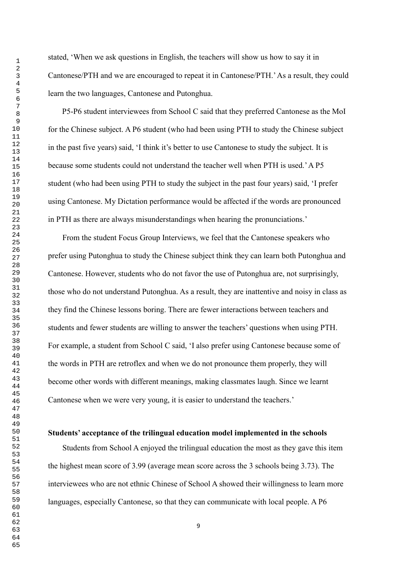stated, 'When we ask questions in English, the teachers will show us how to say it in Cantonese/PTH and we are encouraged to repeat it in Cantonese/PTH.'As a result, they could learn the two languages, Cantonese and Putonghua.

P5-P6 student interviewees from School C said that they preferred Cantonese as the MoI for the Chinese subject. A P6 student (who had been using PTH to study the Chinese subject in the past five years) said, 'I think it's better to use Cantonese to study the subject. It is because some students could not understand the teacher well when PTH is used.'A P5 student (who had been using PTH to study the subject in the past four years) said, 'I prefer using Cantonese. My Dictation performance would be affected if the words are pronounced in PTH as there are always misunderstandings when hearing the pronunciations.'

From the student Focus Group Interviews, we feel that the Cantonese speakers who prefer using Putonghua to study the Chinese subject think they can learn both Putonghua and Cantonese. However, students who do not favor the use of Putonghua are, not surprisingly, those who do not understand Putonghua. As a result, they are inattentive and noisy in class as they find the Chinese lessons boring. There are fewer interactions between teachers and students and fewer students are willing to answer the teachers' questions when using PTH. For example, a student from School C said, 'I also prefer using Cantonese because some of the words in PTH are retroflex and when we do not pronounce them properly, they will become other words with different meanings, making classmates laugh. Since we learnt Cantonese when we were very young, it is easier to understand the teachers.'

#### **Students' acceptance of the trilingual education model implemented in the schools**

Students from School A enjoyed the trilingual education the most as they gave this item the highest mean score of 3.99 (average mean score across the 3 schools being 3.73). The interviewees who are not ethnic Chinese of School A showed their willingness to learn more languages, especially Cantonese, so that they can communicate with local people. A P6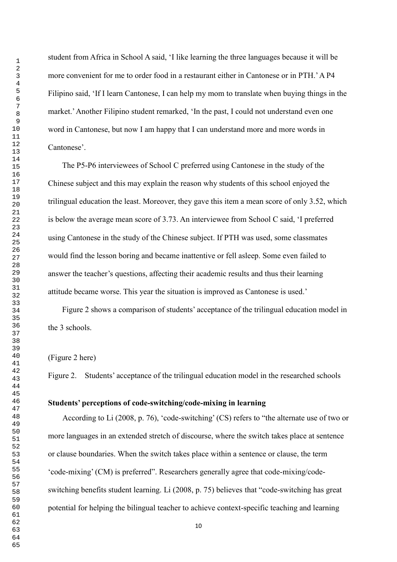student from Africa in School A said, 'I like learning the three languages because it will be more convenient for me to order food in a restaurant either in Cantonese or in PTH.'A P4 Filipino said, 'If I learn Cantonese, I can help my mom to translate when buying things in the market.'Another Filipino student remarked, 'In the past, I could not understand even one word in Cantonese, but now I am happy that I can understand more and more words in Cantonese'.

The P5-P6 interviewees of School C preferred using Cantonese in the study of the Chinese subject and this may explain the reason why students of this school enjoyed the trilingual education the least. Moreover, they gave this item a mean score of only 3.52, which is below the average mean score of 3.73. An interviewee from School C said, 'I preferred using Cantonese in the study of the Chinese subject. If PTH was used, some classmates would find the lesson boring and became inattentive or fell asleep. Some even failed to answer the teacher's questions, affecting their academic results and thus their learning attitude became worse. This year the situation is improved as Cantonese is used.'

Figure 2 shows a comparison of students' acceptance of the trilingual education model in the 3 schools.

#### (Figure 2 here)

Figure 2. Students' acceptance of the trilingual education model in the researched schools

#### **Students' perceptions of code-switching/code-mixing in learning**

According to Li (2008, p. 76), 'code-switching' (CS) refers to "the alternate use of two or more languages in an extended stretch of discourse, where the switch takes place at sentence or clause boundaries. When the switch takes place within a sentence or clause, the term 'code-mixing' (CM) is preferred". Researchers generally agree that code-mixing/codeswitching benefits student learning. Li (2008, p. 75) believes that "code-switching has great potential for helping the bilingual teacher to achieve context-specific teaching and learning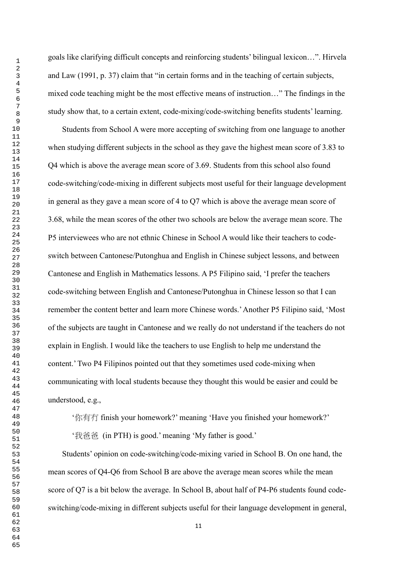goals like clarifying difficult concepts and reinforcing students' bilingual lexicon…". Hirvela and Law (1991, p. 37) claim that "in certain forms and in the teaching of certain subjects, mixed code teaching might be the most effective means of instruction…" The findings in the study show that, to a certain extent, code-mixing/code-switching benefits students' learning.

Students from School A were more accepting of switching from one language to another when studying different subjects in the school as they gave the highest mean score of 3.83 to Q4 which is above the average mean score of 3.69. Students from this school also found code-switching/code-mixing in different subjects most useful for their language development in general as they gave a mean score of 4 to Q7 which is above the average mean score of 3.68, while the mean scores of the other two schools are below the average mean score. The P5 interviewees who are not ethnic Chinese in School A would like their teachers to codeswitch between Cantonese/Putonghua and English in Chinese subject lessons, and between Cantonese and English in Mathematics lessons. A P5 Filipino said, 'I prefer the teachers code-switching between English and Cantonese/Putonghua in Chinese lesson so that I can remember the content better and learn more Chinese words.'Another P5 Filipino said, 'Most of the subjects are taught in Cantonese and we really do not understand if the teachers do not explain in English. I would like the teachers to use English to help me understand the content.' Two P4 Filipinos pointed out that they sometimes used code-mixing when communicating with local students because they thought this would be easier and could be understood, e.g.,

'你有冇 finish your homework?' meaning 'Have you finished your homework?'

'我爸爸 (in PTH) is good.' meaning 'My father is good.'

Students' opinion on code-switching/code-mixing varied in School B. On one hand, the mean scores of Q4-Q6 from School B are above the average mean scores while the mean score of Q7 is a bit below the average. In School B, about half of P4-P6 students found codeswitching/code-mixing in different subjects useful for their language development in general,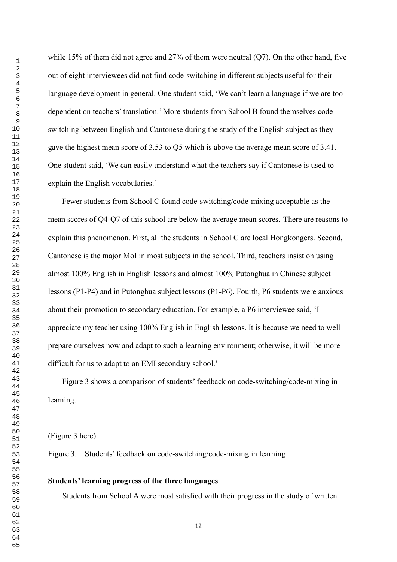while 15% of them did not agree and 27% of them were neutral  $(Q7)$ . On the other hand, five out of eight interviewees did not find code-switching in different subjects useful for their language development in general. One student said, 'We can't learn a language if we are too dependent on teachers' translation.' More students from School B found themselves codeswitching between English and Cantonese during the study of the English subject as they gave the highest mean score of 3.53 to Q5 which is above the average mean score of 3.41. One student said, 'We can easily understand what the teachers say if Cantonese is used to explain the English vocabularies.'

Fewer students from School C found code-switching/code-mixing acceptable as the mean scores of Q4-Q7 of this school are below the average mean scores. There are reasons to explain this phenomenon. First, all the students in School C are local Hongkongers. Second, Cantonese is the major MoI in most subjects in the school. Third, teachers insist on using almost 100% English in English lessons and almost 100% Putonghua in Chinese subject lessons (P1-P4) and in Putonghua subject lessons (P1-P6). Fourth, P6 students were anxious about their promotion to secondary education. For example, a P6 interviewee said, 'I appreciate my teacher using 100% English in English lessons. It is because we need to well prepare ourselves now and adapt to such a learning environment; otherwise, it will be more difficult for us to adapt to an EMI secondary school.'

Figure 3 shows a comparison of students' feedback on code-switching/code-mixing in learning.

(Figure 3 here)

Figure 3. Students' feedback on code-switching/code-mixing in learning

#### **Students' learning progress of the three languages**

Students from School A were most satisfied with their progress in the study of written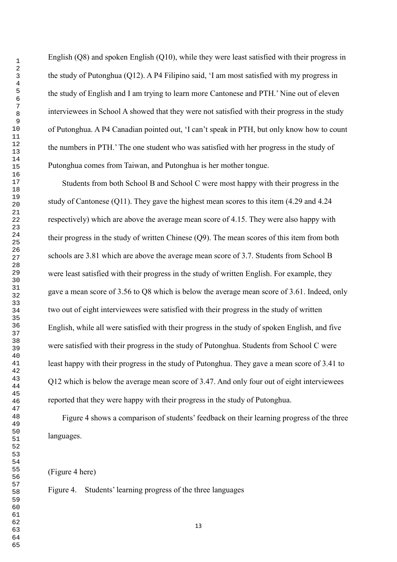English (Q8) and spoken English (Q10), while they were least satisfied with their progress in the study of Putonghua (Q12). A P4 Filipino said, 'I am most satisfied with my progress in the study of English and I am trying to learn more Cantonese and PTH.' Nine out of eleven interviewees in School A showed that they were not satisfied with their progress in the study of Putonghua. A P4 Canadian pointed out, 'I can't speak in PTH, but only know how to count the numbers in PTH.' The one student who was satisfied with her progress in the study of Putonghua comes from Taiwan, and Putonghua is her mother tongue.

Students from both School B and School C were most happy with their progress in the study of Cantonese (Q11). They gave the highest mean scores to this item (4.29 and 4.24 respectively) which are above the average mean score of 4.15. They were also happy with their progress in the study of written Chinese (Q9). The mean scores of this item from both schools are 3.81 which are above the average mean score of 3.7. Students from School B were least satisfied with their progress in the study of written English. For example, they gave a mean score of 3.56 to Q8 which is below the average mean score of 3.61. Indeed, only two out of eight interviewees were satisfied with their progress in the study of written English, while all were satisfied with their progress in the study of spoken English, and five were satisfied with their progress in the study of Putonghua. Students from School C were least happy with their progress in the study of Putonghua. They gave a mean score of 3.41 to Q12 which is below the average mean score of 3.47. And only four out of eight interviewees reported that they were happy with their progress in the study of Putonghua.

Figure 4 shows a comparison of students' feedback on their learning progress of the three languages.

(Figure 4 here)

Figure 4. Students' learning progress of the three languages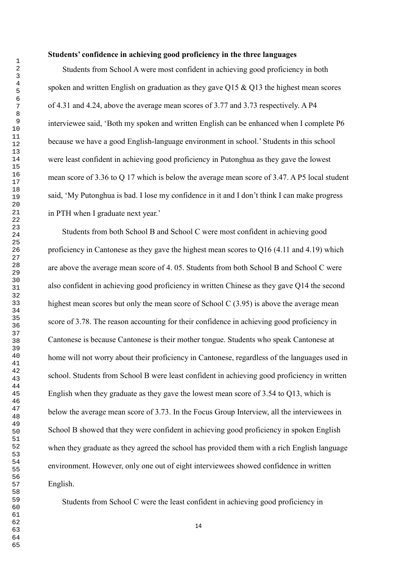#### **Students' confidence in achieving good proficiency in the three languages**

Students from School A were most confident in achieving good proficiency in both spoken and written English on graduation as they gave Q15 & Q13 the highest mean scores of 4.31 and 4.24, above the average mean scores of 3.77 and 3.73 respectively. A P4 interviewee said, 'Both my spoken and written English can be enhanced when I complete P6 because we have a good English-language environment in school.' Students in this school were least confident in achieving good proficiency in Putonghua as they gave the lowest mean score of 3.36 to Q 17 which is below the average mean score of 3.47. A P5 local student said, 'My Putonghua is bad. I lose my confidence in it and I don't think I can make progress in PTH when I graduate next year.'

Students from both School B and School C were most confident in achieving good proficiency in Cantonese as they gave the highest mean scores to Q16 (4.11 and 4.19) which are above the average mean score of 4. 05. Students from both School B and School C were also confident in achieving good proficiency in written Chinese as they gave Q14 the second highest mean scores but only the mean score of School C (3.95) is above the average mean score of 3.78. The reason accounting for their confidence in achieving good proficiency in Cantonese is because Cantonese is their mother tongue. Students who speak Cantonese at home will not worry about their proficiency in Cantonese, regardless of the languages used in school. Students from School B were least confident in achieving good proficiency in written English when they graduate as they gave the lowest mean score of 3.54 to Q13, which is below the average mean score of 3.73. In the Focus Group Interview, all the interviewees in School B showed that they were confident in achieving good proficiency in spoken English when they graduate as they agreed the school has provided them with a rich English language environment. However, only one out of eight interviewees showed confidence in written English.

Students from School C were the least confident in achieving good proficiency in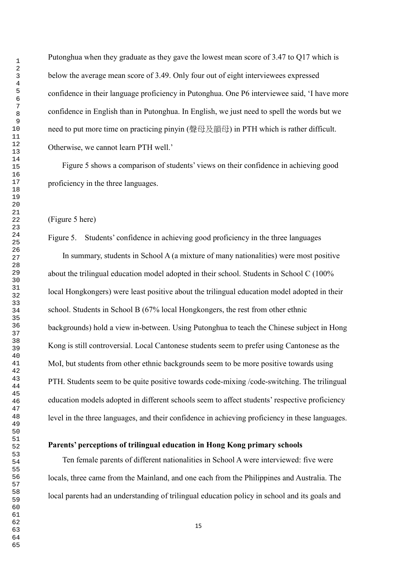Putonghua when they graduate as they gave the lowest mean score of 3.47 to Q17 which is below the average mean score of 3.49. Only four out of eight interviewees expressed confidence in their language proficiency in Putonghua. One P6 interviewee said, 'I have more confidence in English than in Putonghua. In English, we just need to spell the words but we need to put more time on practicing pinyin (聲母及韻母) in PTH which is rather difficult. Otherwise, we cannot learn PTH well.'

Figure 5 shows a comparison of students' views on their confidence in achieving good proficiency in the three languages.

#### (Figure 5 here)

Figure 5. Students' confidence in achieving good proficiency in the three languages

In summary, students in School A (a mixture of many nationalities) were most positive about the trilingual education model adopted in their school. Students in School C (100% local Hongkongers) were least positive about the trilingual education model adopted in their school. Students in School B (67% local Hongkongers, the rest from other ethnic backgrounds) hold a view in-between. Using Putonghua to teach the Chinese subject in Hong Kong is still controversial. Local Cantonese students seem to prefer using Cantonese as the MoI, but students from other ethnic backgrounds seem to be more positive towards using PTH. Students seem to be quite positive towards code-mixing /code-switching. The trilingual education models adopted in different schools seem to affect students' respective proficiency level in the three languages, and their confidence in achieving proficiency in these languages.

## **Parents' perceptions of trilingual education in Hong Kong primary schools**

Ten female parents of different nationalities in School A were interviewed: five were locals, three came from the Mainland, and one each from the Philippines and Australia. The local parents had an understanding of trilingual education policy in school and its goals and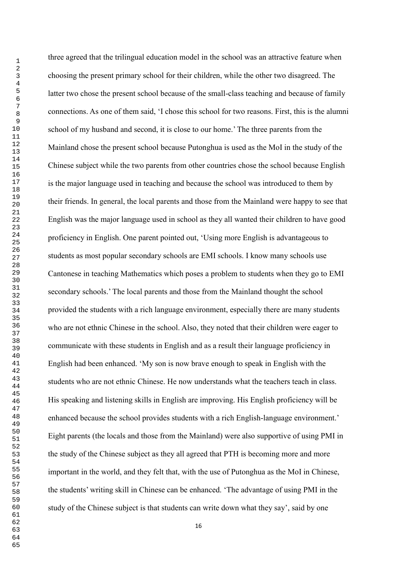three agreed that the trilingual education model in the school was an attractive feature when choosing the present primary school for their children, while the other two disagreed. The latter two chose the present school because of the small-class teaching and because of family connections. As one of them said, 'I chose this school for two reasons. First, this is the alumni school of my husband and second, it is close to our home.' The three parents from the Mainland chose the present school because Putonghua is used as the MoI in the study of the Chinese subject while the two parents from other countries chose the school because English is the major language used in teaching and because the school was introduced to them by their friends. In general, the local parents and those from the Mainland were happy to see that English was the major language used in school as they all wanted their children to have good proficiency in English. One parent pointed out, 'Using more English is advantageous to students as most popular secondary schools are EMI schools. I know many schools use Cantonese in teaching Mathematics which poses a problem to students when they go to EMI secondary schools.' The local parents and those from the Mainland thought the school provided the students with a rich language environment, especially there are many students who are not ethnic Chinese in the school. Also, they noted that their children were eager to communicate with these students in English and as a result their language proficiency in English had been enhanced. 'My son is now brave enough to speak in English with the students who are not ethnic Chinese. He now understands what the teachers teach in class. His speaking and listening skills in English are improving. His English proficiency will be enhanced because the school provides students with a rich English-language environment.' Eight parents (the locals and those from the Mainland) were also supportive of using PMI in the study of the Chinese subject as they all agreed that PTH is becoming more and more important in the world, and they felt that, with the use of Putonghua as the MoI in Chinese, the students' writing skill in Chinese can be enhanced. 'The advantage of using PMI in the study of the Chinese subject is that students can write down what they say', said by one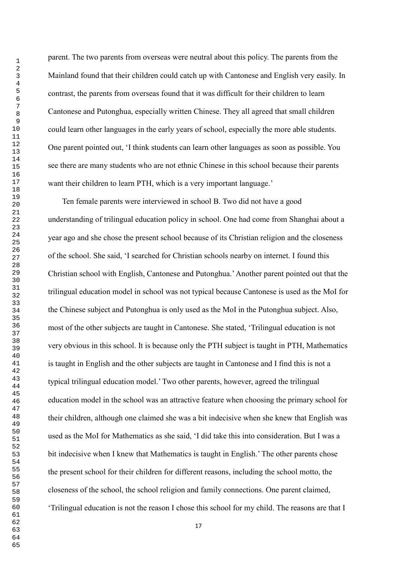parent. The two parents from overseas were neutral about this policy. The parents from the Mainland found that their children could catch up with Cantonese and English very easily. In contrast, the parents from overseas found that it was difficult for their children to learn Cantonese and Putonghua, especially written Chinese. They all agreed that small children could learn other languages in the early years of school, especially the more able students. One parent pointed out, 'I think students can learn other languages as soon as possible. You see there are many students who are not ethnic Chinese in this school because their parents want their children to learn PTH, which is a very important language.'

Ten female parents were interviewed in school B. Two did not have a good understanding of trilingual education policy in school. One had come from Shanghai about a year ago and she chose the present school because of its Christian religion and the closeness of the school. She said, 'I searched for Christian schools nearby on internet. I found this Christian school with English, Cantonese and Putonghua.'Another parent pointed out that the trilingual education model in school was not typical because Cantonese is used as the MoI for the Chinese subject and Putonghua is only used as the MoI in the Putonghua subject. Also, most of the other subjects are taught in Cantonese. She stated, 'Trilingual education is not very obvious in this school. It is because only the PTH subject is taught in PTH, Mathematics is taught in English and the other subjects are taught in Cantonese and I find this is not a typical trilingual education model.' Two other parents, however, agreed the trilingual education model in the school was an attractive feature when choosing the primary school for their children, although one claimed she was a bit indecisive when she knew that English was used as the MoI for Mathematics as she said, 'I did take this into consideration. But I was a bit indecisive when I knew that Mathematics is taught in English.' The other parents chose the present school for their children for different reasons, including the school motto, the closeness of the school, the school religion and family connections. One parent claimed, 'Trilingual education is not the reason I chose this school for my child. The reasons are that I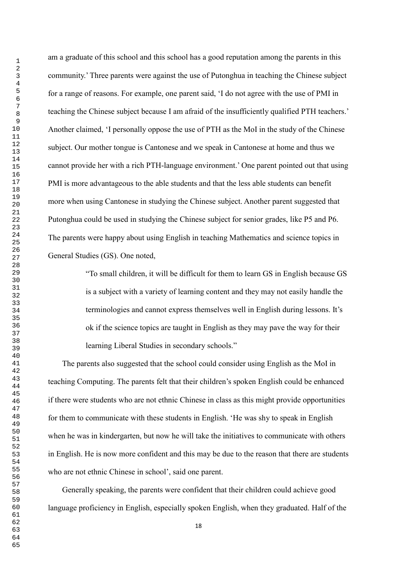am a graduate of this school and this school has a good reputation among the parents in this community.' Three parents were against the use of Putonghua in teaching the Chinese subject for a range of reasons. For example, one parent said, 'I do not agree with the use of PMI in teaching the Chinese subject because I am afraid of the insufficiently qualified PTH teachers.' Another claimed, 'I personally oppose the use of PTH as the MoI in the study of the Chinese subject. Our mother tongue is Cantonese and we speak in Cantonese at home and thus we cannot provide her with a rich PTH-language environment.' One parent pointed out that using PMI is more advantageous to the able students and that the less able students can benefit more when using Cantonese in studying the Chinese subject. Another parent suggested that Putonghua could be used in studying the Chinese subject for senior grades, like P5 and P6. The parents were happy about using English in teaching Mathematics and science topics in General Studies (GS). One noted,

> "To small children, it will be difficult for them to learn GS in English because GS is a subject with a variety of learning content and they may not easily handle the terminologies and cannot express themselves well in English during lessons. It's ok if the science topics are taught in English as they may pave the way for their learning Liberal Studies in secondary schools."

The parents also suggested that the school could consider using English as the MoI in teaching Computing. The parents felt that their children's spoken English could be enhanced if there were students who are not ethnic Chinese in class as this might provide opportunities for them to communicate with these students in English. 'He was shy to speak in English when he was in kindergarten, but now he will take the initiatives to communicate with others in English. He is now more confident and this may be due to the reason that there are students who are not ethnic Chinese in school', said one parent.

Generally speaking, the parents were confident that their children could achieve good language proficiency in English, especially spoken English, when they graduated. Half of the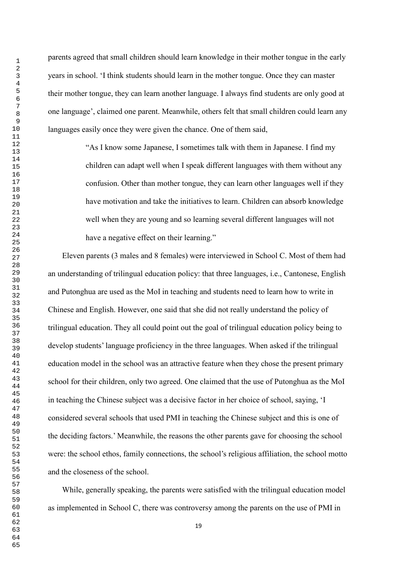parents agreed that small children should learn knowledge in their mother tongue in the early years in school. 'I think students should learn in the mother tongue. Once they can master their mother tongue, they can learn another language. I always find students are only good at one language', claimed one parent. Meanwhile, others felt that small children could learn any languages easily once they were given the chance. One of them said,

> "As I know some Japanese, I sometimes talk with them in Japanese. I find my children can adapt well when I speak different languages with them without any confusion. Other than mother tongue, they can learn other languages well if they have motivation and take the initiatives to learn. Children can absorb knowledge well when they are young and so learning several different languages will not have a negative effect on their learning."

Eleven parents (3 males and 8 females) were interviewed in School C. Most of them had an understanding of trilingual education policy: that three languages, i.e., Cantonese, English and Putonghua are used as the MoI in teaching and students need to learn how to write in Chinese and English. However, one said that she did not really understand the policy of trilingual education. They all could point out the goal of trilingual education policy being to develop students' language proficiency in the three languages. When asked if the trilingual education model in the school was an attractive feature when they chose the present primary school for their children, only two agreed. One claimed that the use of Putonghua as the MoI in teaching the Chinese subject was a decisive factor in her choice of school, saying, 'I considered several schools that used PMI in teaching the Chinese subject and this is one of the deciding factors.' Meanwhile, the reasons the other parents gave for choosing the school were: the school ethos, family connections, the school's religious affiliation, the school motto and the closeness of the school.

While, generally speaking, the parents were satisfied with the trilingual education model as implemented in School C, there was controversy among the parents on the use of PMI in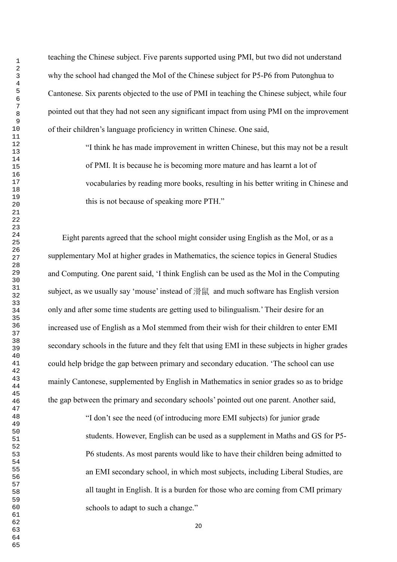teaching the Chinese subject. Five parents supported using PMI, but two did not understand why the school had changed the MoI of the Chinese subject for P5-P6 from Putonghua to Cantonese. Six parents objected to the use of PMI in teaching the Chinese subject, while four pointed out that they had not seen any significant impact from using PMI on the improvement of their children's language proficiency in written Chinese. One said,

> "I think he has made improvement in written Chinese, but this may not be a result of PMI. It is because he is becoming more mature and has learnt a lot of vocabularies by reading more books, resulting in his better writing in Chinese and this is not because of speaking more PTH."

Eight parents agreed that the school might consider using English as the MoI, or as a supplementary MoI at higher grades in Mathematics, the science topics in General Studies and Computing. One parent said, 'I think English can be used as the MoI in the Computing subject, as we usually say 'mouse' instead of 滑鼠 and much software has English version only and after some time students are getting used to bilingualism.' Their desire for an increased use of English as a MoI stemmed from their wish for their children to enter EMI secondary schools in the future and they felt that using EMI in these subjects in higher grades could help bridge the gap between primary and secondary education. 'The school can use mainly Cantonese, supplemented by English in Mathematics in senior grades so as to bridge the gap between the primary and secondary schools' pointed out one parent. Another said,

> "I don't see the need (of introducing more EMI subjects) for junior grade students. However, English can be used as a supplement in Maths and GS for P5- P6 students. As most parents would like to have their children being admitted to an EMI secondary school, in which most subjects, including Liberal Studies, are all taught in English. It is a burden for those who are coming from CMI primary schools to adapt to such a change."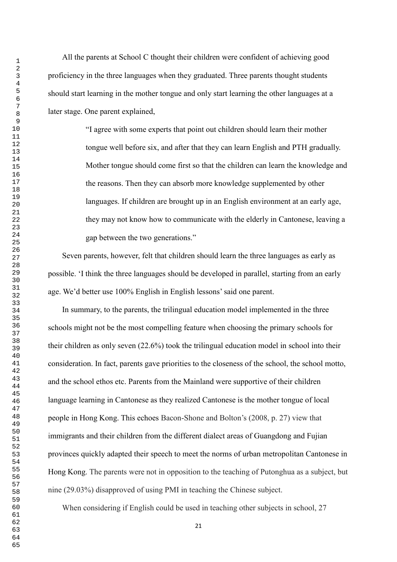All the parents at School C thought their children were confident of achieving good proficiency in the three languages when they graduated. Three parents thought students should start learning in the mother tongue and only start learning the other languages at a later stage. One parent explained,

> "I agree with some experts that point out children should learn their mother tongue well before six, and after that they can learn English and PTH gradually. Mother tongue should come first so that the children can learn the knowledge and the reasons. Then they can absorb more knowledge supplemented by other languages. If children are brought up in an English environment at an early age, they may not know how to communicate with the elderly in Cantonese, leaving a gap between the two generations."

Seven parents, however, felt that children should learn the three languages as early as possible. 'I think the three languages should be developed in parallel, starting from an early age. We'd better use 100% English in English lessons'said one parent.

In summary, to the parents, the trilingual education model implemented in the three schools might not be the most compelling feature when choosing the primary schools for their children as only seven (22.6%) took the trilingual education model in school into their consideration. In fact, parents gave priorities to the closeness of the school, the school motto, and the school ethos etc. Parents from the Mainland were supportive of their children language learning in Cantonese as they realized Cantonese is the mother tongue of local people in Hong Kong. This echoes Bacon-Shone and Bolton's (2008, p. 27) view that immigrants and their children from the different dialect areas of Guangdong and Fujian provinces quickly adapted their speech to meet the norms of urban metropolitan Cantonese in Hong Kong. The parents were not in opposition to the teaching of Putonghua as a subject, but nine (29.03%) disapproved of using PMI in teaching the Chinese subject.

When considering if English could be used in teaching other subjects in school, 27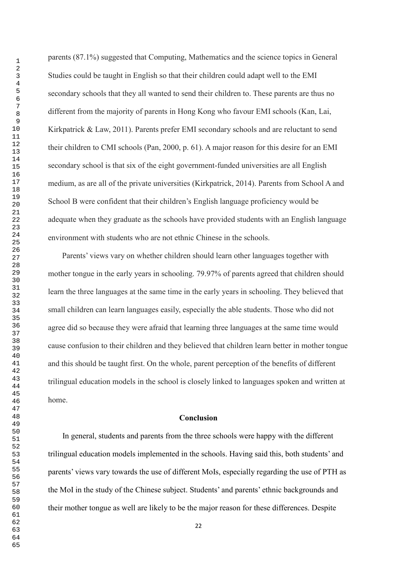parents (87.1%) suggested that Computing, Mathematics and the science topics in General Studies could be taught in English so that their children could adapt well to the EMI secondary schools that they all wanted to send their children to. These parents are thus no different from the majority of parents in Hong Kong who favour EMI schools (Kan, Lai, Kirkpatrick & Law, 2011). Parents prefer EMI secondary schools and are reluctant to send their children to CMI schools (Pan, 2000, p. 61). A major reason for this desire for an EMI secondary school is that six of the eight government-funded universities are all English medium, as are all of the private universities (Kirkpatrick, 2014). Parents from School A and School B were confident that their children's English language proficiency would be adequate when they graduate as the schools have provided students with an English language environment with students who are not ethnic Chinese in the schools.

Parents' views vary on whether children should learn other languages together with mother tongue in the early years in schooling. 79.97% of parents agreed that children should learn the three languages at the same time in the early years in schooling. They believed that small children can learn languages easily, especially the able students. Those who did not agree did so because they were afraid that learning three languages at the same time would cause confusion to their children and they believed that children learn better in mother tongue and this should be taught first. On the whole, parent perception of the benefits of different trilingual education models in the school is closely linked to languages spoken and written at home.

#### **Conclusion**

In general, students and parents from the three schools were happy with the different trilingual education models implemented in the schools. Having said this, both students' and parents' views vary towards the use of different MoIs, especially regarding the use of PTH as the MoI in the study of the Chinese subject. Students' and parents' ethnic backgrounds and their mother tongue as well are likely to be the major reason for these differences. Despite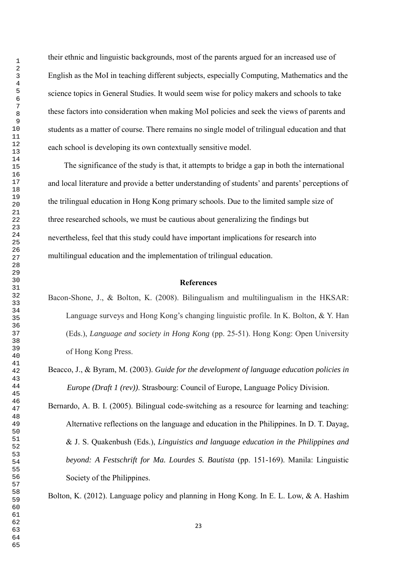their ethnic and linguistic backgrounds, most of the parents argued for an increased use of English as the MoI in teaching different subjects, especially Computing, Mathematics and the science topics in General Studies. It would seem wise for policy makers and schools to take these factors into consideration when making MoI policies and seek the views of parents and students as a matter of course. There remains no single model of trilingual education and that each school is developing its own contextually sensitive model.

The significance of the study is that, it attempts to bridge a gap in both the international and local literature and provide a better understanding of students' and parents' perceptions of the trilingual education in Hong Kong primary schools. Due to the limited sample size of three researched schools, we must be cautious about generalizing the findings but nevertheless, feel that this study could have important implications for research into multilingual education and the implementation of trilingual education.

## **References**

Bacon-Shone, J., & Bolton, K. (2008). Bilingualism and multilingualism in the HKSAR: Language surveys and Hong Kong's changing linguistic profile. In K. Bolton, & Y. Han (Eds.), *Language and society in Hong Kong* (pp. 25-51). Hong Kong: Open University of Hong Kong Press.

Beacco, J., & Byram, M. (2003). *Guide for the development of language education policies in Europe (Draft 1 (rev))*. Strasbourg: Council of Europe, Language Policy Division.

Bernardo, A. B. I. (2005). Bilingual code-switching as a resource for learning and teaching: Alternative reflections on the language and education in the Philippines. In D. T. Dayag, & J. S. Quakenbush (Eds.), *Linguistics and language education in the Philippines and beyond: A Festschrift for Ma. Lourdes S. Bautista* (pp. 151-169). Manila: Linguistic Society of the Philippines.

Bolton, K. (2012). Language policy and planning in Hong Kong. In E. L. Low, & A. Hashim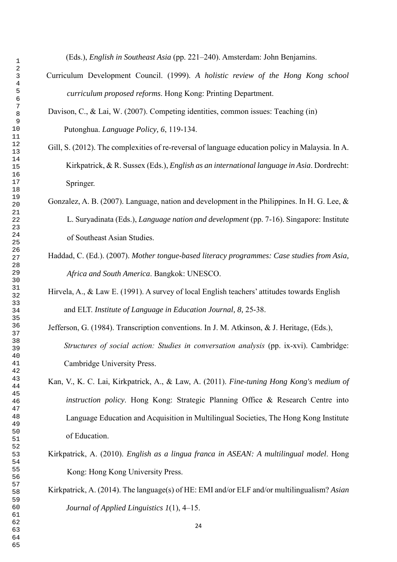(Eds.), *English in Southeast Asia* (pp. 221–240). Amsterdam: John Benjamins.

- Curriculum Development Council. (1999). *A holistic review of the Hong Kong school curriculum proposed reforms*. Hong Kong: Printing Department.
- Davison, C., & Lai, W. (2007). Competing identities, common issues: Teaching (in) Putonghua. *Language Policy, 6*, 119-134.
- Gill, S. (2012). The complexities of re-reversal of language education policy in Malaysia. In A. Kirkpatrick, & R. Sussex (Eds.), *English as an international language in Asia*. Dordrecht: Springer.
- Gonzalez, A. B. (2007). Language, nation and development in the Philippines. In H. G. Lee, & L. Suryadinata (Eds.), *Language nation and development* (pp. 7-16). Singapore: Institute of Southeast Asian Studies.
- Haddad, C. (Ed.). (2007). *Mother tongue-based literacy programmes: Case studies from Asia, Africa and South America*. Bangkok: UNESCO.
- Hirvela, A., & Law E. (1991). A survey of local English teachers' attitudes towards English and ELT. *Institute of Language in Education Journal, 8,* 25-38.
- Jefferson, G. (1984). Transcription conventions. In J. M. Atkinson, & J. Heritage, (Eds.), *Structures of social action: Studies in conversation analysis* (pp. ix-xvi). Cambridge: Cambridge University Press.
- Kan, V., K. C. Lai, Kirkpatrick, A., & Law, A. (2011). *Fine-tuning Hong Kong's medium of instruction policy*. Hong Kong: Strategic Planning Office & Research Centre into Language Education and Acquisition in Multilingual Societies, The Hong Kong Institute of Education.
- Kirkpatrick, A. (2010). *English as a lingua franca in ASEAN: A multilingual model*. Hong Kong: Hong Kong University Press.
- Kirkpatrick, A. (2014). The language(s) of HE: EMI and/or ELF and/or multilingualism? *Asian Journal of Applied Linguistics 1*(1), 4‒15.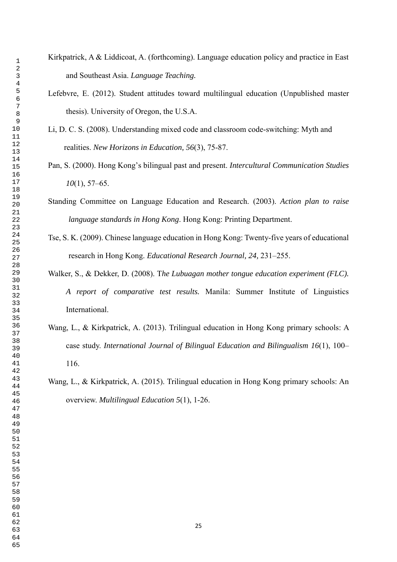- Kirkpatrick, A & Liddicoat, A. (forthcoming). Language education policy and practice in East and Southeast Asia. *Language Teaching.*
	- Lefebvre, E. (2012). Student attitudes toward multilingual education (Unpublished master thesis). University of Oregon, the U.S.A.
	- Li, D. C. S. (2008). Understanding mixed code and classroom code-switching: Myth and realities. *New Horizons in Education, 56*(3), 75-87.
	- Pan, S. (2000). Hong Kong's bilingual past and present. *Intercultural Communication Studies*  (1), 57–65.
	- Standing Committee on Language Education and Research. (2003). *Action plan to raise language standards in Hong Kong*. Hong Kong: Printing Department.
	- Tse, S. K. (2009). Chinese language education in Hong Kong: Twenty-five years of educational research in Hong Kong. *Educational Research Journal, 24,* 231–255.
	- Walker, S., & Dekker, D. (2008). T*he Lubuagan mother tongue education experiment (FLC). A report of comparative test results.* Manila: Summer Institute of Linguistics International.
	- Wang, L., & Kirkpatrick, A. (2013). Trilingual education in Hong Kong primary schools: A case study. *International Journal of Bilingual Education and Bilingualism 16*(1), 100– 116.
	- Wang, L., & Kirkpatrick, A. (2015). Trilingual education in Hong Kong primary schools: An overview. *Multilingual Education 5*(1), 1-26.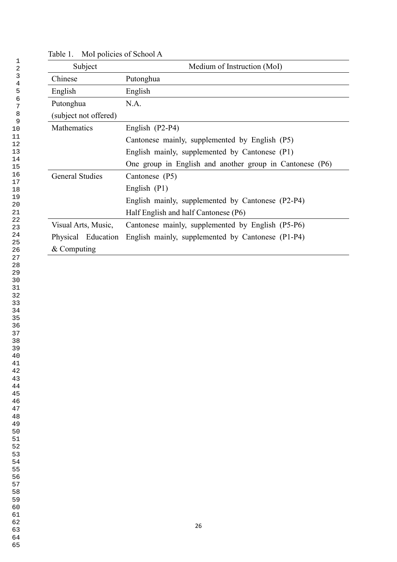| Subject                | Medium of Instruction (MoI)                              |  |  |  |  |
|------------------------|----------------------------------------------------------|--|--|--|--|
| Chinese                | Putonghua                                                |  |  |  |  |
| English                | English                                                  |  |  |  |  |
| Putonghua              | N.A.                                                     |  |  |  |  |
| (subject not offered)  |                                                          |  |  |  |  |
| Mathematics            | English (P2-P4)                                          |  |  |  |  |
|                        | Cantonese mainly, supplemented by English (P5)           |  |  |  |  |
|                        | English mainly, supplemented by Cantonese (P1)           |  |  |  |  |
|                        | One group in English and another group in Cantonese (P6) |  |  |  |  |
| <b>General Studies</b> | Cantonese (P5)                                           |  |  |  |  |
|                        | English (P1)                                             |  |  |  |  |
|                        | English mainly, supplemented by Cantonese (P2-P4)        |  |  |  |  |
|                        | Half English and half Cantonese (P6)                     |  |  |  |  |
| Visual Arts, Music,    | Cantonese mainly, supplemented by English (P5-P6)        |  |  |  |  |
| Physical Education     | English mainly, supplemented by Cantonese (P1-P4)        |  |  |  |  |
| $&$ Computing          |                                                          |  |  |  |  |

Table 1. MoI policies of School A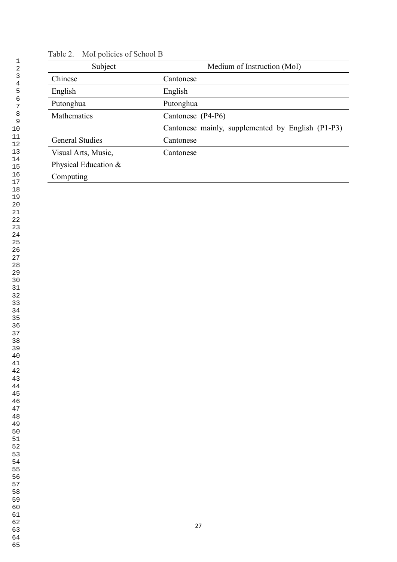| Subject                | Medium of Instruction (MoI)                       |
|------------------------|---------------------------------------------------|
| Chinese                | Cantonese                                         |
| English                | English                                           |
| Putonghua              | Putonghua                                         |
| <b>Mathematics</b>     | Cantonese (P4-P6)                                 |
|                        | Cantonese mainly, supplemented by English (P1-P3) |
| <b>General Studies</b> | Cantonese                                         |
| Visual Arts, Music,    | Cantonese                                         |
| Physical Education &   |                                                   |
| Computing              |                                                   |
|                        |                                                   |

## Table 2. MoI policies of School B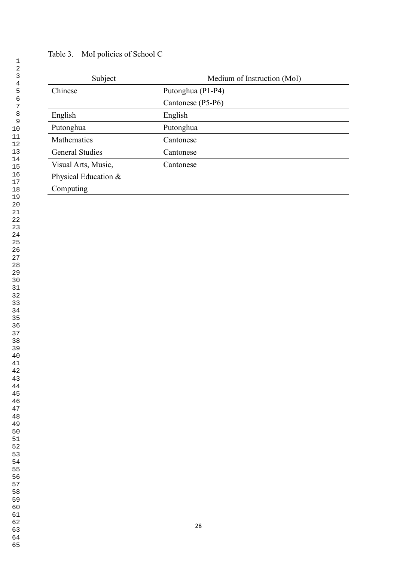| Subject                | Medium of Instruction (MoI) |  |  |
|------------------------|-----------------------------|--|--|
| Chinese                | Putonghua (P1-P4)           |  |  |
|                        | Cantonese (P5-P6)           |  |  |
| English                | English                     |  |  |
| Putonghua              | Putonghua                   |  |  |
| <b>Mathematics</b>     | Cantonese                   |  |  |
| <b>General Studies</b> | Cantonese                   |  |  |
| Visual Arts, Music,    | Cantonese                   |  |  |
| Physical Education &   |                             |  |  |
| Computing              |                             |  |  |

# Table 3. MoI policies of School C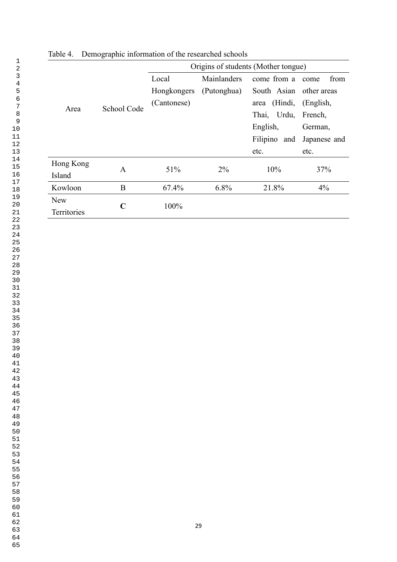|                    | O<br>$\mathbf{I}$ |                                     |             |                 |              |
|--------------------|-------------------|-------------------------------------|-------------|-----------------|--------------|
|                    |                   | Origins of students (Mother tongue) |             |                 |              |
| Area               | School Code       | Local                               | Mainlanders | come from a     | from<br>come |
|                    |                   | Hongkongers                         | (Putonghua) | South Asian     | other areas  |
|                    |                   | (Cantonese)                         |             | (Hindi,<br>area | (English,    |
|                    |                   |                                     |             | Thai, Urdu,     | French,      |
|                    |                   |                                     |             | English,        | German,      |
|                    |                   |                                     |             | Filipino and    | Japanese and |
|                    |                   |                                     |             | etc.            | etc.         |
| Hong Kong          | A                 | 51%                                 | $2\%$       | 10%             |              |
| Island             |                   |                                     |             |                 | 37%          |
| Kowloon            | B                 | 67.4%                               | 6.8%        | 21.8%           | 4%           |
| <b>New</b>         | $\mathbf C$       | 100%                                |             |                 |              |
| <b>Territories</b> |                   |                                     |             |                 |              |

Table 4. Demographic information of the researched schools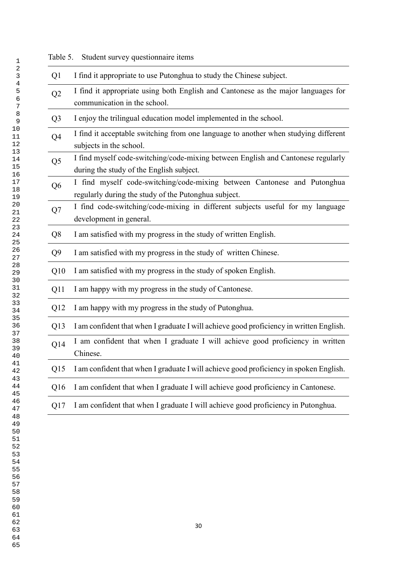| Q <sub>1</sub> | I find it appropriate to use Putonghua to study the Chinese subject.                                                             |
|----------------|----------------------------------------------------------------------------------------------------------------------------------|
| Q <sub>2</sub> | I find it appropriate using both English and Cantonese as the major languages for<br>communication in the school.                |
| Q <sub>3</sub> | I enjoy the trilingual education model implemented in the school.                                                                |
| Q4             | I find it acceptable switching from one language to another when studying different<br>subjects in the school.                   |
| Q <sub>5</sub> | I find myself code-switching/code-mixing between English and Cantonese regularly<br>during the study of the English subject.     |
| Q <sub>6</sub> | I find myself code-switching/code-mixing between Cantonese and Putonghua<br>regularly during the study of the Putonghua subject. |
| Q7             | I find code-switching/code-mixing in different subjects useful for my language<br>development in general.                        |
| Q <sub>8</sub> | I am satisfied with my progress in the study of written English.                                                                 |
| Q <sub>9</sub> | I am satisfied with my progress in the study of written Chinese.                                                                 |
| Q10            | I am satisfied with my progress in the study of spoken English.                                                                  |
| Q11            | I am happy with my progress in the study of Cantonese.                                                                           |
| Q12            | I am happy with my progress in the study of Putonghua.                                                                           |
| Q13            | I am confident that when I graduate I will achieve good proficiency in written English.                                          |
| Q14            | I am confident that when I graduate I will achieve good proficiency in written<br>Chinese.                                       |
| Q15            | I am confident that when I graduate I will achieve good proficiency in spoken English.                                           |
| Q16            | I am confident that when I graduate I will achieve good proficiency in Cantonese.                                                |
| Q17            | I am confident that when I graduate I will achieve good proficiency in Putonghua.                                                |
|                |                                                                                                                                  |

Table 5. Student survey questionnaire items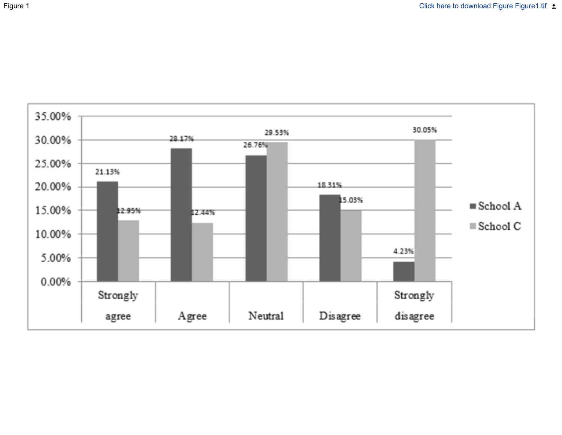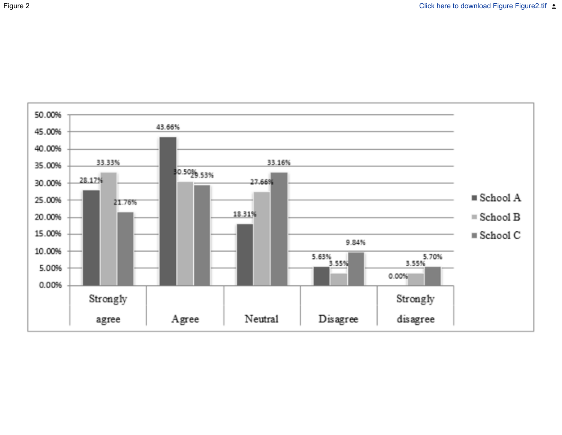

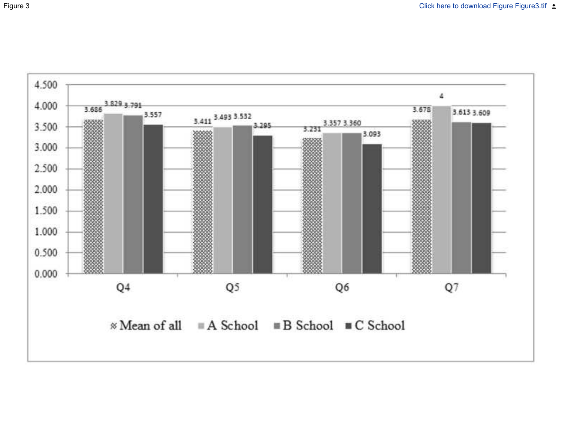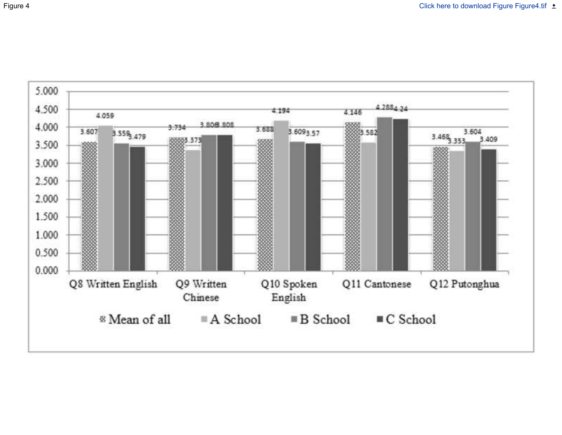